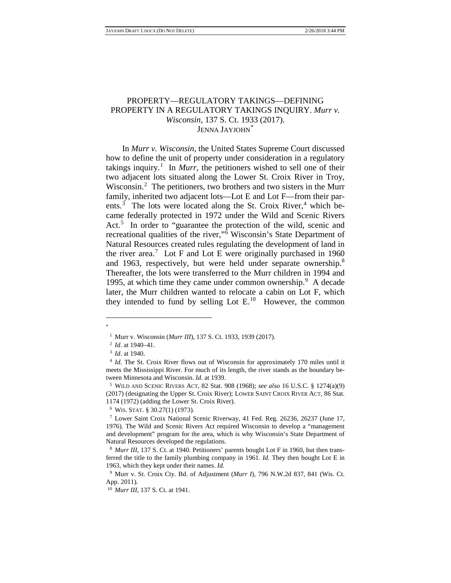# PROPERTY—REGULATORY TAKINGS—DEFINING PROPERTY IN A REGULATORY TAKINGS INQUIRY. *Murr v. Wisconsin*, 137 S. Ct. 1933 (2017). JENNA JAYJOHN<sup>[\\*](#page-0-0)</sup>

In *Murr v. Wisconsin*, the United States Supreme Court discussed how to define the unit of property under consideration in a regulatory takings inquiry.<sup>[1](#page-0-1)</sup> In *Murr*, the petitioners wished to sell one of their two adjacent lots situated along the Lower St. Croix River in Troy, Wisconsin.<sup>[2](#page-0-2)</sup> The petitioners, two brothers and two sisters in the Murr family, inherited two adjacent lots—Lot E and Lot F—from their par-ents.<sup>[3](#page-0-3)</sup> The lots were located along the St. Croix River,<sup>[4](#page-0-4)</sup> which became federally protected in 1972 under the Wild and Scenic Rivers Act.<sup>[5](#page-0-5)</sup> In order to "guarantee the protection of the wild, scenic and recreational qualities of the river,"[6](#page-0-6) Wisconsin's State Department of Natural Resources created rules regulating the development of land in the river area.<sup>[7](#page-0-7)</sup> Lot F and Lot E were originally purchased in 1960 and 1963, respectively, but were held under separate ownership.<sup>[8](#page-0-8)</sup> Thereafter, the lots were transferred to the Murr children in 1994 and 1[9](#page-0-9)95, at which time they came under common ownership.<sup>9</sup> A decade later, the Murr children wanted to relocate a cabin on Lot F, which they intended to fund by selling Lot  $E^{10}$  $E^{10}$  $E^{10}$ . However, the common

<span id="page-0-0"></span>\*

<span id="page-0-1"></span><sup>1</sup> Murr v. Wisconsin (*Murr III*), 137 S. Ct. 1933, 1939 (2017). 2 *Id*. at 1940–41.

<sup>3</sup> *Id*. at 1940.

<span id="page-0-4"></span><span id="page-0-3"></span><span id="page-0-2"></span><sup>&</sup>lt;sup>4</sup> *Id.* The St. Croix River flows out of Wisconsin for approximately 170 miles until it meets the Mississippi River. For much of its length, the river stands as the boundary between Minnesota and Wisconsin. *Id*. at 1939.

<span id="page-0-5"></span><sup>5</sup> WILD AND SCENIC RIVERS ACT, 82 Stat. 908 (1968); *see also* 16 U.S.C. § 1274(a)(9) (2017) (designating the Upper St. Croix River); LOWER SAINT CROIX RIVER ACT, 86 Stat. 1174 (1972) (adding the Lower St. Croix River).

<sup>6</sup> WIS. STAT. § 30.27(1) (1973).

<span id="page-0-7"></span><span id="page-0-6"></span><sup>7</sup> Lower Saint Croix National Scenic Riverway, 41 Fed. Reg. 26236, 26237 (June 17, 1976). The Wild and Scenic Rivers Act required Wisconsin to develop a "management and development" program for the area, which is why Wisconsin's State Department of Natural Resources developed the regulations.

<span id="page-0-8"></span><sup>&</sup>lt;sup>8</sup> *Murr III*, 137 S. Ct. at 1940. Petitioners' parents bought Lot F in 1960, but then transferred the title to the family plumbing company in 1961. *Id.* They then bought Lot E in 1963, which they kept under their names. *Id.*

<span id="page-0-9"></span><sup>9</sup> Murr v. St. Croix Cty. Bd. of Adjustment (*Murr I*), 796 N.W.2d 837, 841 (Wis. Ct. App. 2011).

<span id="page-0-10"></span><sup>10</sup> *Murr III*, 137 S. Ct. at 1941.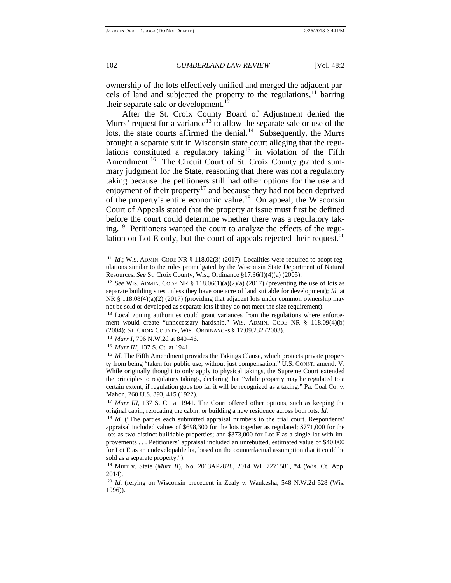ownership of the lots effectively unified and merged the adjacent parcels of land and subjected the property to the regulations,  $11$  barring their separate sale or development. $^{12}$  $^{12}$  $^{12}$ 

After the St. Croix County Board of Adjustment denied the Murrs' request for a variance<sup>[13](#page-1-2)</sup> to allow the separate sale or use of the lots, the state courts affirmed the denial. $14$  Subsequently, the Murrs brought a separate suit in Wisconsin state court alleging that the regu-lations constituted a regulatory taking<sup>[15](#page-1-4)</sup> in violation of the Fifth Amendment.<sup>16</sup> The Circuit Court of St. Croix County granted summary judgment for the State, reasoning that there was not a regulatory taking because the petitioners still had other options for the use and enjoyment of their property<sup>[17](#page-1-6)</sup> and because they had not been deprived of the property's entire economic value. [18](#page-1-7) On appeal, the Wisconsin Court of Appeals stated that the property at issue must first be defined before the court could determine whether there was a regulatory taking. [19](#page-1-8) Petitioners wanted the court to analyze the effects of the regu-lation on Lot E only, but the court of appeals rejected their request.<sup>[20](#page-1-9)</sup>

<span id="page-1-0"></span><sup>&</sup>lt;sup>11</sup> *Id.*; WIS. ADMIN. CODE NR  $\S$  118.02(3) (2017). Localities were required to adopt regulations similar to the rules promulgated by the Wisconsin State Department of Natural Resources. *See* St. Croix County, Wis., Ordinance §17.36(I)(4)(a) (2005).

<span id="page-1-1"></span><sup>12</sup> *See* WIS. ADMIN. CODE NR § 118.06(1)(a)(2)(a) (2017) (preventing the use of lots as separate building sites unless they have one acre of land suitable for development); *Id*. at NR § 118.08(4)(a)(2) (2017) (providing that adjacent lots under common ownership may not be sold or developed as separate lots if they do not meet the size requirement).

<span id="page-1-2"></span><sup>&</sup>lt;sup>13</sup> Local zoning authorities could grant variances from the regulations where enforcement would create "unnecessary hardship." WIS. ADMIN. CODE NR § 118.09(4)(b) (2004); ST. CROIX COUNTY, WIS., ORDINANCEs § 17.09.232 (2003).

<sup>14</sup> *Murr I*, 796 N.W.2d at 840–46.

<sup>15</sup> *Murr III*, 137 S. Ct. at 1941.

<span id="page-1-5"></span><span id="page-1-4"></span><span id="page-1-3"></span><sup>&</sup>lt;sup>16</sup> *Id.* The Fifth Amendment provides the Takings Clause, which protects private property from being "taken for public use, without just compensation." U.S. CONST. amend. V. While originally thought to only apply to physical takings, the Supreme Court extended the principles to regulatory takings, declaring that "while property may be regulated to a certain extent, if regulation goes too far it will be recognized as a taking." Pa. Coal Co. v. Mahon, 260 U.S. 393, 415 (1922).

<span id="page-1-6"></span><sup>&</sup>lt;sup>17</sup> *Murr III,* 137 S. Ct. at 1941. The Court offered other options, such as keeping the original cabin, relocating the cabin, or building a new residence across both lots. *Id.* 

<span id="page-1-7"></span><sup>&</sup>lt;sup>18</sup> *Id.* ("The parties each submitted appraisal numbers to the trial court. Respondents' appraisal included values of \$698,300 for the lots together as regulated; \$771,000 for the lots as two distinct buildable properties; and \$373,000 for Lot F as a single lot with improvements . . . Petitioners' appraisal included an unrebutted, estimated value of \$40,000 for Lot E as an undevelopable lot, based on the counterfactual assumption that it could be sold as a separate property."). 19 Murr v. State (*Murr II*), No. 2013AP2828, 2014 WL 7271581, \*4 (Wis. Ct. App.

<span id="page-1-8"></span><sup>2014).</sup>

<span id="page-1-9"></span><sup>&</sup>lt;sup>20</sup> *Id.* (relying on Wisconsin precedent in Zealy v. Waukesha, 548 N.W.2d 528 (Wis. 1996)).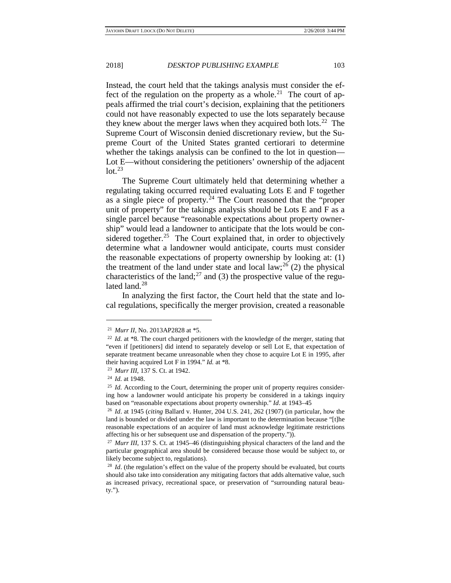Instead, the court held that the takings analysis must consider the effect of the regulation on the property as a whole.<sup>21</sup> The court of appeals affirmed the trial court's decision, explaining that the petitioners could not have reasonably expected to use the lots separately because they knew about the merger laws when they acquired both lots.<sup>[22](#page-2-1)</sup> The Supreme Court of Wisconsin denied discretionary review, but the Supreme Court of the United States granted certiorari to determine whether the takings analysis can be confined to the lot in question— Lot E—without considering the petitioners' ownership of the adjacent  $\text{lot.}^{23}$  $\text{lot.}^{23}$  $\text{lot.}^{23}$ 

The Supreme Court ultimately held that determining whether a regulating taking occurred required evaluating Lots E and F together as a single piece of property. $24$  The Court reasoned that the "proper unit of property" for the takings analysis should be Lots E and F as a single parcel because "reasonable expectations about property ownership" would lead a landowner to anticipate that the lots would be considered together.<sup>25</sup> The Court explained that, in order to objectively determine what a landowner would anticipate, courts must consider the reasonable expectations of property ownership by looking at: (1) the treatment of the land under state and local  $law;^{26}(2)$  $law;^{26}(2)$  $law;^{26}(2)$  the physical characteristics of the land;<sup>[27](#page-2-6)</sup> and (3) the prospective value of the regu-lated land.<sup>[28](#page-2-7)</sup>

In analyzing the first factor, the Court held that the state and local regulations, specifically the merger provision, created a reasonable

<sup>21</sup> *Murr II*, No. 2013AP2828 at \*5.

<span id="page-2-1"></span><span id="page-2-0"></span><sup>&</sup>lt;sup>22</sup> *Id.* at \*8. The court charged petitioners with the knowledge of the merger, stating that "even if [petitioners] did intend to separately develop or sell Lot E, that expectation of separate treatment became unreasonable when they chose to acquire Lot E in 1995, after their having acquired Lot F in 1994." *Id.* at \*8.

<span id="page-2-2"></span><sup>23</sup> *Murr III*, 137 S. Ct. at 1942.

<sup>24</sup> *Id.* at 1948.

<span id="page-2-4"></span><span id="page-2-3"></span><sup>&</sup>lt;sup>25</sup> *Id.* According to the Court, determining the proper unit of property requires considering how a landowner would anticipate his property be considered in a takings inquiry based on "reasonable expectations about property ownership." *Id*. at 1943–45

<span id="page-2-5"></span><sup>26</sup> *Id*. at 1945 (*citing* Ballard v. Hunter, 204 U.S. 241, 262 (1907) (in particular, how the land is bounded or divided under the law is important to the determination because "[t]he reasonable expectations of an acquirer of land must acknowledge legitimate restrictions affecting his or her subsequent use and dispensation of the property.")). 27 *Murr III*, 137 S. Ct. at 1945–46 (distinguishing physical characters of the land and the

<span id="page-2-6"></span>particular geographical area should be considered because those would be subject to, or likely become subject to, regulations).

<span id="page-2-7"></span><sup>&</sup>lt;sup>28</sup> *Id.* (the regulation's effect on the value of the property should be evaluated, but courts should also take into consideration any mitigating factors that adds alternative value, such as increased privacy, recreational space, or preservation of "surrounding natural beauty.").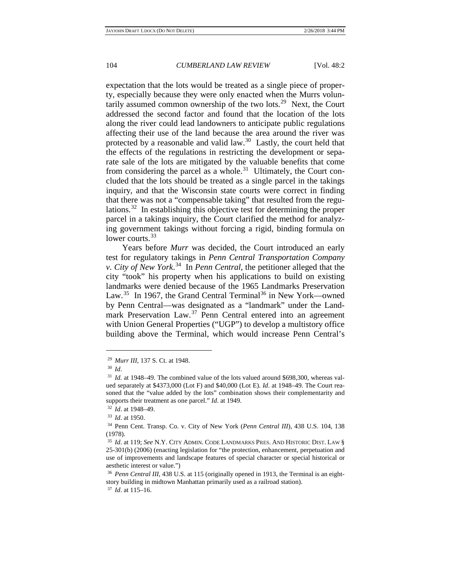expectation that the lots would be treated as a single piece of property, especially because they were only enacted when the Murrs voluntarily assumed common ownership of the two lots.<sup>29</sup> Next, the Court addressed the second factor and found that the location of the lots along the river could lead landowners to anticipate public regulations affecting their use of the land because the area around the river was protected by a reasonable and valid law. $30$  Lastly, the court held that the effects of the regulations in restricting the development or separate sale of the lots are mitigated by the valuable benefits that come from considering the parcel as a whole.<sup>31</sup> Ultimately, the Court concluded that the lots should be treated as a single parcel in the takings inquiry, and that the Wisconsin state courts were correct in finding that there was not a "compensable taking" that resulted from the regulations.[32](#page-3-3) In establishing this objective test for determining the proper parcel in a takings inquiry, the Court clarified the method for analyzing government takings without forcing a rigid, binding formula on lower courts.<sup>[33](#page-3-4)</sup>

Years before *Murr* was decided, the Court introduced an early test for regulatory takings in *Penn Central Transportation Company v. City of New York*. [34](#page-3-5) In *Penn Central*, the petitioner alleged that the city "took" his property when his applications to build on existing landmarks were denied because of the 1965 Landmarks Preservation Law.<sup>35</sup> In 1967, the Grand Central Terminal<sup>[36](#page-3-7)</sup> in New York—owned by Penn Central—was designated as a "landmark" under the Land-mark Preservation Law.<sup>[37](#page-3-8)</sup> Penn Central entered into an agreement with Union General Properties ("UGP") to develop a multistory office building above the Terminal, which would increase Penn Central's

<sup>29</sup> *Murr III*, 137 S. Ct. at 1948.

<span id="page-3-0"></span><sup>30</sup> *Id*.

<span id="page-3-2"></span><span id="page-3-1"></span><sup>31</sup> *Id.* at 1948–49. The combined value of the lots valued around \$698,300, whereas valued separately at \$4373,000 (Lot F) and \$40,000 (Lot E). *Id*. at 1948–49. The Court reasoned that the "value added by the lots" combination shows their complementarity and supports their treatment as one parcel." *Id*. at 1949.

<sup>&</sup>lt;sup>32</sup> *Id.* at 1948–49.<br><sup>33</sup> *Id.* at 1950.

<span id="page-3-3"></span>

<span id="page-3-5"></span><span id="page-3-4"></span><sup>&</sup>lt;sup>34</sup> Penn Cent. Transp. Co. v. City of New York (*Penn Central III*), 438 U.S. 104, 138 (1978).

<span id="page-3-6"></span><sup>35</sup> *Id*. at 119; *See* N.Y. CITY ADMIN. CODE LANDMARKS PRES. AND HISTORIC DIST. LAW § 25-301(b) (2006) (enacting legislation for "the protection, enhancement, perpetuation and use of improvements and landscape features of special character or special historical or aesthetic interest or value.")

<span id="page-3-8"></span><span id="page-3-7"></span><sup>36</sup> *Penn Central III*, 438 U.S. at 115 (originally opened in 1913, the Terminal is an eightstory building in midtown Manhattan primarily used as a railroad station).

<sup>37</sup> *Id*. at 115–16.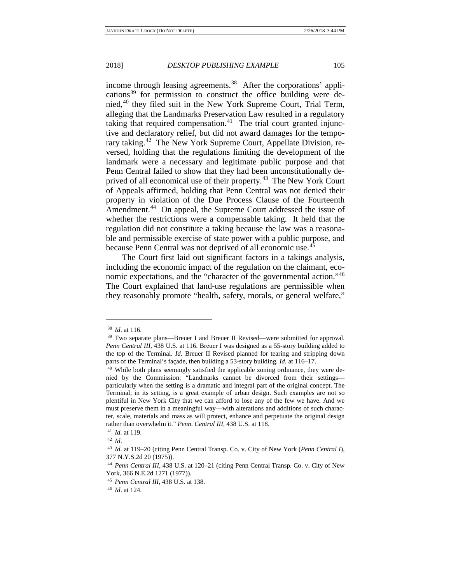income through leasing agreements.<sup>38</sup> After the corporations' appli-cations<sup>[39](#page-4-1)</sup> for permission to construct the office building were denied,[40](#page-4-2) they filed suit in the New York Supreme Court, Trial Term, alleging that the Landmarks Preservation Law resulted in a regulatory taking that required compensation.<sup>41</sup> The trial court granted injunctive and declaratory relief, but did not award damages for the temporary taking.<sup>42</sup> The New York Supreme Court, Appellate Division, reversed, holding that the regulations limiting the development of the landmark were a necessary and legitimate public purpose and that Penn Central failed to show that they had been unconstitutionally de-prived of all economical use of their property.<sup>[43](#page-4-5)</sup> The New York Court of Appeals affirmed, holding that Penn Central was not denied their property in violation of the Due Process Clause of the Fourteenth Amendment.<sup>44</sup> On appeal, the Supreme Court addressed the issue of whether the restrictions were a compensable taking. It held that the regulation did not constitute a taking because the law was a reasonable and permissible exercise of state power with a public purpose, and because Penn Central was not deprived of all economic use.[45](#page-4-7)

The Court first laid out significant factors in a takings analysis, including the economic impact of the regulation on the claimant, eco-nomic expectations, and the "character of the governmental action."<sup>[46](#page-4-8)</sup> The Court explained that land-use regulations are permissible when they reasonably promote "health, safety, morals, or general welfare,"

<span id="page-4-1"></span><span id="page-4-0"></span><sup>&</sup>lt;sup>38</sup> *Id.* at 116.<br><sup>39</sup> Two separate plans—Breuer I and Breuer II Revised—were submitted for approval. *Penn Central III*, 438 U.S. at 116. Breuer I was designed as a 55-story building added to the top of the Terminal. *Id*. Breuer II Revised planned for tearing and stripping down parts of the Terminal's façade, then building a 53-story building. *Id*. at 116–17.

<span id="page-4-2"></span><sup>&</sup>lt;sup>40</sup> While both plans seemingly satisfied the applicable zoning ordinance, they were denied by the Commission: "Landmarks cannot be divorced from their settings particularly when the setting is a dramatic and integral part of the original concept. The Terminal, in its setting, is a great example of urban design. Such examples are not so plentiful in New York City that we can afford to lose any of the few we have. And we must preserve them in a meaningful way—with alterations and additions of such character, scale, materials and mass as will protect, enhance and perpetuate the original design rather than overwhelm it." *Penn. Central III*, 438 U.S. at 118. 41 *Id.* at 119.

<span id="page-4-5"></span><span id="page-4-4"></span><span id="page-4-3"></span><sup>42</sup> *Id*. 43 *Id.* at 119–20 (citing Penn Central Transp. Co. v. City of New York (*Penn Central I*), 377 N.Y.S.2d 20 (1975)).

<span id="page-4-6"></span><sup>44</sup> *Penn Central III*, 438 U.S. at 120–21 (citing Penn Central Transp. Co. v. City of New York, 366 N.E.2d 1271 (1977)).

<span id="page-4-7"></span><sup>45</sup> *Penn Central III*, 438 U.S. at 138.

<span id="page-4-8"></span><sup>46</sup> *Id*. at 124.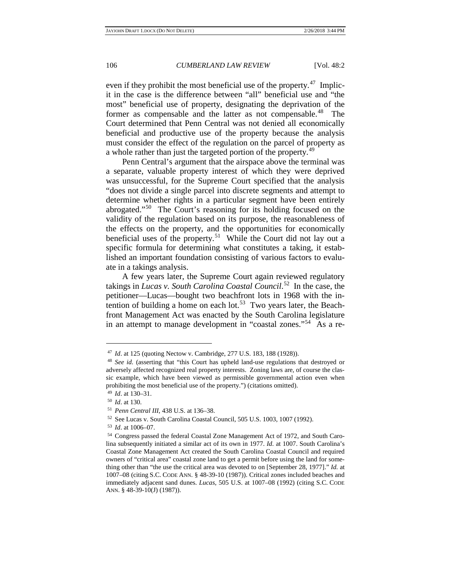even if they prohibit the most beneficial use of the property. $47$  Implicit in the case is the difference between "all" beneficial use and "the most" beneficial use of property, designating the deprivation of the former as compensable and the latter as not compensable.<sup>[48](#page-5-1)</sup> The Court determined that Penn Central was not denied all economically beneficial and productive use of the property because the analysis must consider the effect of the regulation on the parcel of property as a whole rather than just the targeted portion of the property.<sup>[49](#page-5-2)</sup>

Penn Central's argument that the airspace above the terminal was a separate, valuable property interest of which they were deprived was unsuccessful, for the Supreme Court specified that the analysis "does not divide a single parcel into discrete segments and attempt to determine whether rights in a particular segment have been entirely abrogated."[50](#page-5-3) The Court's reasoning for its holding focused on the validity of the regulation based on its purpose, the reasonableness of the effects on the property, and the opportunities for economically beneficial uses of the property.<sup>[51](#page-5-4)</sup> While the Court did not lay out a specific formula for determining what constitutes a taking, it established an important foundation consisting of various factors to evaluate in a takings analysis.

A few years later, the Supreme Court again reviewed regulatory takings in *Lucas v. South Carolina Coastal Council*. [52](#page-5-5) In the case, the petitioner—Lucas—bought two beachfront lots in 1968 with the in-tention of building a home on each lot.<sup>[53](#page-5-6)</sup> Two years later, the Beachfront Management Act was enacted by the South Carolina legislature in an attempt to manage development in "coastal zones."[54](#page-5-7) As a re-

<span id="page-5-1"></span><span id="page-5-0"></span><sup>47</sup> *Id*. at 125 (quoting Nectow v. Cambridge, 277 U.S. 183, 188 (1928)). 48 *See id.* (asserting that "this Court has upheld land-use regulations that destroyed or adversely affected recognized real property interests. Zoning laws are, of course the classic example, which have been viewed as permissible governmental action even when prohibiting the most beneficial use of the property.") (citations omitted).

<sup>49</sup> *Id*. at 130–31.

<span id="page-5-3"></span><span id="page-5-2"></span><sup>50</sup> *Id*. at 130.

<span id="page-5-4"></span><sup>51</sup> *Penn Central III*, 438 U.S. at 136–38.

<sup>52</sup> See Lucas v. South Carolina Coastal Council, 505 U.S. 1003, 1007 (1992).

<sup>53</sup> *Id*. at 1006–07.

<span id="page-5-7"></span><span id="page-5-6"></span><span id="page-5-5"></span><sup>54</sup> Congress passed the federal Coastal Zone Management Act of 1972, and South Carolina subsequently initiated a similar act of its own in 1977. *Id*. at 1007. South Carolina's Coastal Zone Management Act created the South Carolina Coastal Council and required owners of "critical area" coastal zone land to get a permit before using the land for something other than "the use the critical area was devoted to on [September 28, 1977]." *Id.* at 1007–08 (citing S.C. CODE ANN. § 48-39-10 (1987)). Critical zones included beaches and immediately adjacent sand dunes. *Lucas*, 505 U.S. at 1007–08 (1992) (citing S.C. CODE ANN. § 48-39-10(J) (1987)).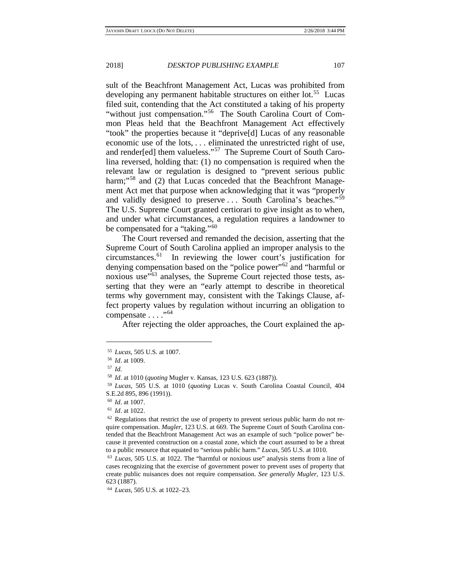sult of the Beachfront Management Act, Lucas was prohibited from developing any permanent habitable structures on either lot.<sup>[55](#page-6-0)</sup> Lucas filed suit, contending that the Act constituted a taking of his property "without just compensation."[56](#page-6-1) The South Carolina Court of Common Pleas held that the Beachfront Management Act effectively "took" the properties because it "deprive[d] Lucas of any reasonable economic use of the lots, . . . eliminated the unrestricted right of use, and render[ed] them valueless."<sup>[57](#page-6-2)</sup> The Supreme Court of South Carolina reversed, holding that: (1) no compensation is required when the relevant law or regulation is designed to "prevent serious public harm;"<sup>[58](#page-6-3)</sup> and (2) that Lucas conceded that the Beachfront Management Act met that purpose when acknowledging that it was "properly and validly designed to preserve . . . South Carolina's beaches."<sup>[59](#page-6-4)</sup> The U.S. Supreme Court granted certiorari to give insight as to when, and under what circumstances, a regulation requires a landowner to be compensated for a "taking."<sup>[60](#page-6-5)</sup>

The Court reversed and remanded the decision, asserting that the Supreme Court of South Carolina applied an improper analysis to the circumstances.[61](#page-6-6) In reviewing the lower court's justification for denying compensation based on the "police power"<sup>[62](#page-6-7)</sup> and "harmful or noxious use<sup>"[63](#page-6-8)</sup> analyses, the Supreme Court rejected those tests, asserting that they were an "early attempt to describe in theoretical terms why government may, consistent with the Takings Clause, affect property values by regulation without incurring an obligation to compensate . . . . "<sup>[64](#page-6-9)</sup>

After rejecting the older approaches, the Court explained the ap-

<span id="page-6-1"></span><span id="page-6-0"></span><sup>55</sup> *Lucas*, 505 U.S. at 1007.

<sup>56</sup> *Id*. at 1009.

<span id="page-6-2"></span><sup>57</sup> *Id.*

<sup>58</sup> *Id*. at 1010 (*quoting* Mugler v. Kansas, 123 U.S. 623 (1887)).

<span id="page-6-4"></span><span id="page-6-3"></span><sup>59</sup> *Lucas*, 505 U.S. at 1010 (*quoting* Lucas v. South Carolina Coastal Council, 404 S.E.2d 895, 896 (1991)).

<span id="page-6-7"></span>

<span id="page-6-6"></span><span id="page-6-5"></span><sup>&</sup>lt;sup>60</sup> *Id.* at 1007.<br><sup>61</sup> *Id.* at 1022.<br><sup>62</sup> Regulations that restrict the use of property to prevent serious public harm do not require compensation. *Mugler*, 123 U.S. at 669. The Supreme Court of South Carolina contended that the Beachfront Management Act was an example of such "police power" because it prevented construction on a coastal zone, which the court assumed to be a threat to a public resource that equated to "serious public harm." *Lucas,* 505 U.S. at 1010.

<span id="page-6-8"></span><sup>63</sup> *Lucas*, 505 U.S. at 1022. The "harmful or noxious use" analysis stems from a line of cases recognizing that the exercise of government power to prevent uses of property that create public nuisances does not require compensation. *See generally Mugler*, 123 U.S. 623 (1887).

<span id="page-6-9"></span><sup>64</sup> *Lucas*, 505 U.S. at 1022–23.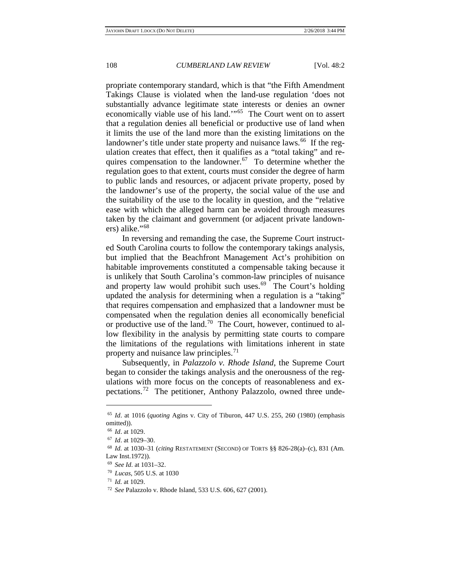propriate contemporary standard, which is that "the Fifth Amendment Takings Clause is violated when the land-use regulation 'does not substantially advance legitimate state interests or denies an owner economically viable use of his land.'"[65](#page-7-0) The Court went on to assert that a regulation denies all beneficial or productive use of land when it limits the use of the land more than the existing limitations on the landowner's title under state property and nuisance laws.<sup>[66](#page-7-1)</sup> If the regulation creates that effect, then it qualifies as a "total taking" and re-quires compensation to the landowner.<sup>[67](#page-7-2)</sup> To determine whether the regulation goes to that extent, courts must consider the degree of harm to public lands and resources, or adjacent private property, posed by the landowner's use of the property, the social value of the use and the suitability of the use to the locality in question, and the "relative ease with which the alleged harm can be avoided through measures taken by the claimant and government (or adjacent private landowners) alike."[68](#page-7-3)

In reversing and remanding the case, the Supreme Court instructed South Carolina courts to follow the contemporary takings analysis, but implied that the Beachfront Management Act's prohibition on habitable improvements constituted a compensable taking because it is unlikely that South Carolina's common-law principles of nuisance and property law would prohibit such uses. $69$  The Court's holding updated the analysis for determining when a regulation is a "taking" that requires compensation and emphasized that a landowner must be compensated when the regulation denies all economically beneficial or productive use of the land.<sup>[70](#page-7-5)</sup> The Court, however, continued to allow flexibility in the analysis by permitting state courts to compare the limitations of the regulations with limitations inherent in state property and nuisance law principles.<sup>[71](#page-7-6)</sup>

Subsequently, in *Palazzolo v. Rhode Island*, the Supreme Court began to consider the takings analysis and the onerousness of the regulations with more focus on the concepts of reasonableness and expectations.[72](#page-7-7) The petitioner, Anthony Palazzolo, owned three unde-

<span id="page-7-0"></span><sup>65</sup> *Id*. at 1016 (*quoting* Agins v. City of Tiburon, 447 U.S. 255, 260 (1980) (emphasis omitted)).

<sup>66</sup> *Id*. at 1029.

<sup>67</sup> *Id*. at 1029–30.

<span id="page-7-4"></span><span id="page-7-3"></span><span id="page-7-2"></span><span id="page-7-1"></span><sup>68</sup> *Id.* at 1030–31 (*citing* RESTATEMENT (SECOND) OF TORTS §§ 826-28(a)–(c), 831 (Am. Law Inst.1972)).

<sup>69</sup> *See Id*. at 1031–32.

<sup>70</sup> *Lucas*, 505 U.S. at 1030

<span id="page-7-6"></span><span id="page-7-5"></span><sup>71</sup> *Id.* at 1029.

<span id="page-7-7"></span><sup>72</sup> *See* Palazzolo v. Rhode Island, 533 U.S. 606, 627 (2001).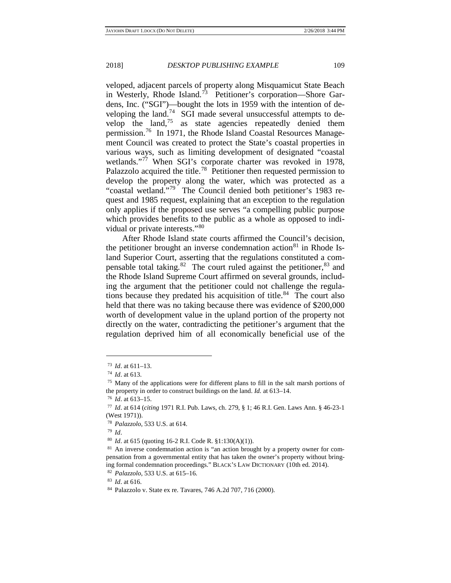veloped, adjacent parcels of property along Misquamicut State Beach in Westerly, Rhode Island.<sup>[73](#page-8-0)</sup> Petitioner's corporation—Shore Gardens, Inc. ("SGI")—bought the lots in 1959 with the intention of de-veloping the land.<sup>[74](#page-8-1)</sup> SGI made several unsuccessful attempts to develop the land, $75$  as state agencies repeatedly denied them permission.<sup>[76](#page-8-3)</sup> In 1971, the Rhode Island Coastal Resources Management Council was created to protect the State's coastal properties in various ways, such as limiting development of designated "coastal wetlands."<sup>[77](#page-8-4)</sup> When SGI's corporate charter was revoked in 1978, Palazzolo acquired the title.<sup>[78](#page-8-5)</sup> Petitioner then requested permission to develop the property along the water, which was protected as a "coastal wetland."<sup>[79](#page-8-6)</sup> The Council denied both petitioner's 1983 request and 1985 request, explaining that an exception to the regulation only applies if the proposed use serves "a compelling public purpose which provides benefits to the public as a whole as opposed to individual or private interests."[80](#page-8-7)

After Rhode Island state courts affirmed the Council's decision, the petitioner brought an inverse condemnation action<sup>[81](#page-8-8)</sup> in Rhode Island Superior Court, asserting that the regulations constituted a compensable total taking. $82$  The court ruled against the petitioner,  $83$  and the Rhode Island Supreme Court affirmed on several grounds, including the argument that the petitioner could not challenge the regula-tions because they predated his acquisition of title.<sup>[84](#page-8-11)</sup> The court also held that there was no taking because there was evidence of \$200,000 worth of development value in the upland portion of the property not directly on the water, contradicting the petitioner's argument that the regulation deprived him of all economically beneficial use of the

 $\overline{a}$ 

<sup>79</sup> *Id*.

<sup>73</sup> *Id*. at 611–13.

<span id="page-8-0"></span><sup>74</sup> *Id*. at 613.

<span id="page-8-2"></span><span id="page-8-1"></span><sup>75</sup> Many of the applications were for different plans to fill in the salt marsh portions of the property in order to construct buildings on the land. *Id.* at 613–14.

<span id="page-8-4"></span><span id="page-8-3"></span><sup>76</sup> *Id*. at 613–15. 77 *Id*. at 614 (*citing* 1971 R.I. Pub. Laws, ch. 279, § 1; 46 R.I. Gen. Laws Ann. § 46-23-1 (West 1971)).

<span id="page-8-5"></span><sup>78</sup> *Palazzolo*, 533 U.S. at 614.

<span id="page-8-8"></span><span id="page-8-7"></span><span id="page-8-6"></span><sup>&</sup>lt;sup>80</sup> *Id.* at 615 (quoting 16-2 R.I. Code R. §1:130(A)(1)).<br><sup>81</sup> An inverse condemnation action is "an action brought by a property owner for compensation from a governmental entity that has taken the owner's property without bringing formal condemnation proceedings." BLACK'S LAW DICTIONARY (10th ed. 2014).

<span id="page-8-9"></span><sup>82</sup> *Palazzolo*, 533 U.S. at 615–16.

<span id="page-8-10"></span><sup>83</sup> *Id*. at 616.

<span id="page-8-11"></span><sup>84</sup> Palazzolo v. State ex re. Tavares, 746 A.2d 707, 716 (2000).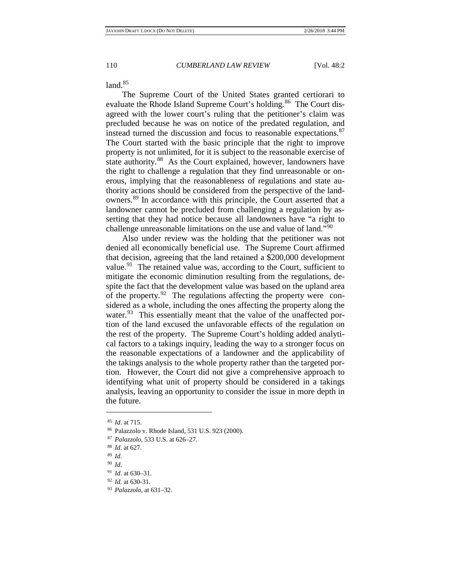land  $85$ 

The Supreme Court of the United States granted certiorari to evaluate the Rhode Island Supreme Court's holding.<sup>[86](#page-9-1)</sup> The Court disagreed with the lower court's ruling that the petitioner's claim was precluded because he was on notice of the predated regulation, and instead turned the discussion and focus to reasonable expectations.<sup>[87](#page-9-2)</sup> The Court started with the basic principle that the right to improve property is not unlimited, for it is subject to the reasonable exercise of state authority.<sup>[88](#page-9-3)</sup> As the Court explained, however, landowners have the right to challenge a regulation that they find unreasonable or onerous, implying that the reasonableness of regulations and state authority actions should be considered from the perspective of the landowners.[89](#page-9-4) In accordance with this principle, the Court asserted that a landowner cannot be precluded from challenging a regulation by asserting that they had notice because all landowners have "a right to challenge unreasonable limitations on the use and value of land."[90](#page-9-5)

Also under review was the holding that the petitioner was not denied all economically beneficial use. The Supreme Court affirmed that decision, agreeing that the land retained a \$200,000 development value.<sup>[91](#page-9-6)</sup> The retained value was, according to the Court, sufficient to mitigate the economic diminution resulting from the regulations, despite the fact that the development value was based on the upland area of the property.<sup>92</sup> The regulations affecting the property were considered as a whole, including the ones affecting the property along the water.<sup>93</sup> This essentially meant that the value of the unaffected portion of the land excused the unfavorable effects of the regulation on the rest of the property. The Supreme Court's holding added analytical factors to a takings inquiry, leading the way to a stronger focus on the reasonable expectations of a landowner and the applicability of the takings analysis to the whole property rather than the targeted portion. However, the Court did not give a comprehensive approach to identifying what unit of property should be considered in a takings analysis, leaving an opportunity to consider the issue in more depth in the future.

<span id="page-9-1"></span><span id="page-9-0"></span><sup>85</sup> *Id*. at 715.

<sup>86</sup> Palazzolo v. Rhode Island, 531 U.S. 923 (2000).

<span id="page-9-2"></span><sup>87</sup> *Palazzolo*, 533 U.S. at 626–27.

<span id="page-9-3"></span><sup>88</sup> *Id*. at 627.

<span id="page-9-5"></span><span id="page-9-4"></span><sup>89</sup> *Id*. 90 *Id*.

<span id="page-9-6"></span><sup>91</sup> *Id*. at 630–31.

<span id="page-9-8"></span><span id="page-9-7"></span><sup>92</sup> *Id.* at 630-31.

<sup>93</sup> *Palazzolo,* at 631–32.